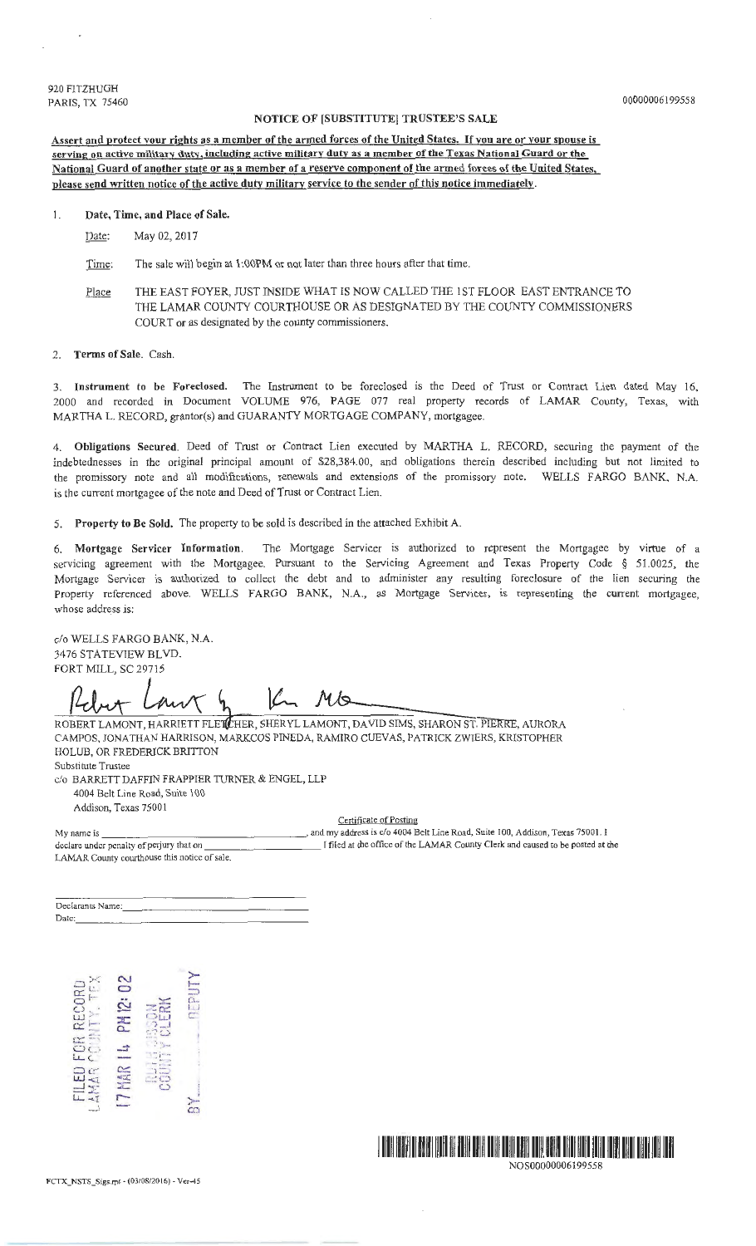920 FITZHUGH PARIS, TX 75460

## NOTICE OF [SUBSTITUTE] TRUSTEE'S SALE

Assert and protect vour rights as a member of the armed forces of the United States. If you are or vour spouse is serving on active militarv duty, including active military dutv as a member of the Texas National Guard or the National Guard of another state or as a member of a reserve component of the armed forces of the United States, please send written notice of the active duty military service to the sender of this notice immediately.

### 1. Date, Time, and Place of Sale.

Date: May 02, 2017

Time: The sale will begin at 1:00PM or not later than three hours after that time.

Place THE EAST FOYER, JUST INSIDE WHAT IS NOW CALLED THE 1ST FLOOR EAST ENTRANCE TO THE LAMAR COUNTY COURTHOUSE OR AS DESIGNATED BY THE COUNTY COMMISSIONERS COURT or as designated by the county commissioners.

#### 2. Terms of Sale. Cash.

3. Instrument to be Foreclosed. The Instrument to be foreclosed is the Deed of Trust or Contract Lien dated May 16, 2000 and recorded in Document VOLUME 976, PAGE 077 real property records of LAMAR County, Texas, with MARTHA L. RECORD, grantor(s) and GUARANTY MORTGAGE COMPANY, mortgagee.

4. Obligations Secured. Deed of Tmst or Contract Lien executed by MARTHA L. RECORD, securing the payment of the indebtednesses in the original principal amount of \$28,384.00, and obligations therein described including but not limited to the promissory note and all modifications, renewals and extensions of the promissory note. WELLS FARGO BANK, N.A. is the current mortgagee of the note and Deed of Trust or Contract Lien.

5. Property to Be Sold. The property to be sold is described in the attached Exhibit A.

6. Mortgage Servicer Information. The Mortgage Servicer is authorized to represent the Mortgagee by virtue of a servicing agreement with the Mortgagee. Pursuant to the Servicing Agreement and Texas Property Code *§* 5 1.0025, the Mortgage Servicer is authorized *to* collect the debt and to administer any resulting foreclosure of the lien securing the Property referenced above. WELLS FARGO BANK, N.A., as Mortgage Servicer, is representing the current mortgagee, whose address is:

c/o WELLS FARGO BANK, N.A. 3476 STATEVIEW BLVD. FORT MILL, SC 29715

K.  $M\circledcirc$ 

ROBERT LAMONT, HARRIETT FLETCHER, SHERYL LAMONT, DAVID SIMS, SHARON ST. PIERRE, AURORA CAMPOS, JONATHAN HARRISON, MARK.COS PINEDA, RAMIRO CUEVAS, PATRICK ZWIERS, KRISTOPHER HOLUB, OR FREDERJCK BRITTON Substitute Trustee

c/o BARRETT DAFFIN FRAPPIER TURNER & ENGEL, LLP 4004 Belt Line Road, Suite 100 Addison, Texas 75001

Certificate of Posting

My name is , and my address is c/o 4004 Belt Line Road, Suite 100, Addison, Texas 75001. I declare under penalty of perjury that on l contract the contract of the LAMAR County Clerk and caused to be posted at the LAMAR County courthouse this notice of sale.

Declarants Name: Date: